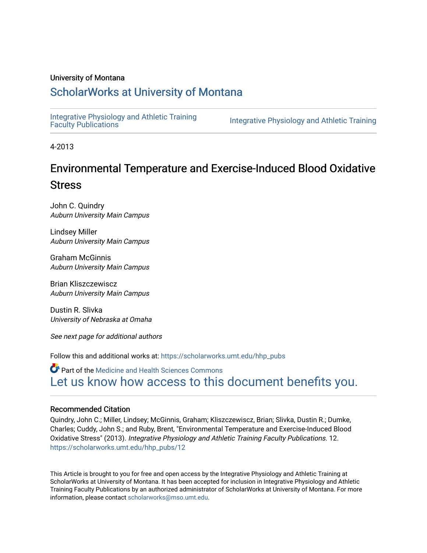## University of Montana

## [ScholarWorks at University of Montana](https://scholarworks.umt.edu/)

[Integrative Physiology and Athletic Training](https://scholarworks.umt.edu/hhp_pubs)

Integrative Physiology and Athletic Training

4-2013

# Environmental Temperature and Exercise-Induced Blood Oxidative Stress

John C. Quindry Auburn University Main Campus

Lindsey Miller Auburn University Main Campus

Graham McGinnis Auburn University Main Campus

Brian Kliszczewiscz Auburn University Main Campus

Dustin R. Slivka University of Nebraska at Omaha

See next page for additional authors

Follow this and additional works at: [https://scholarworks.umt.edu/hhp\\_pubs](https://scholarworks.umt.edu/hhp_pubs?utm_source=scholarworks.umt.edu%2Fhhp_pubs%2F12&utm_medium=PDF&utm_campaign=PDFCoverPages)

**Part of the Medicine and Health Sciences Commons** [Let us know how access to this document benefits you.](https://goo.gl/forms/s2rGfXOLzz71qgsB2) 

#### Recommended Citation

Quindry, John C.; Miller, Lindsey; McGinnis, Graham; Kliszczewiscz, Brian; Slivka, Dustin R.; Dumke, Charles; Cuddy, John S.; and Ruby, Brent, "Environmental Temperature and Exercise-Induced Blood Oxidative Stress" (2013). Integrative Physiology and Athletic Training Faculty Publications. 12. [https://scholarworks.umt.edu/hhp\\_pubs/12](https://scholarworks.umt.edu/hhp_pubs/12?utm_source=scholarworks.umt.edu%2Fhhp_pubs%2F12&utm_medium=PDF&utm_campaign=PDFCoverPages) 

This Article is brought to you for free and open access by the Integrative Physiology and Athletic Training at ScholarWorks at University of Montana. It has been accepted for inclusion in Integrative Physiology and Athletic Training Faculty Publications by an authorized administrator of ScholarWorks at University of Montana. For more information, please contact [scholarworks@mso.umt.edu](mailto:scholarworks@mso.umt.edu).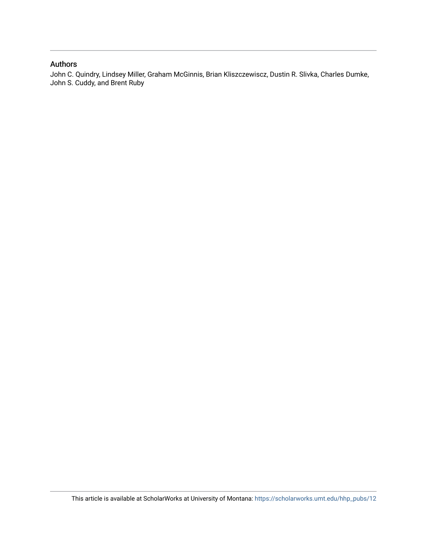## Authors

John C. Quindry, Lindsey Miller, Graham McGinnis, Brian Kliszczewiscz, Dustin R. Slivka, Charles Dumke, John S. Cuddy, and Brent Ruby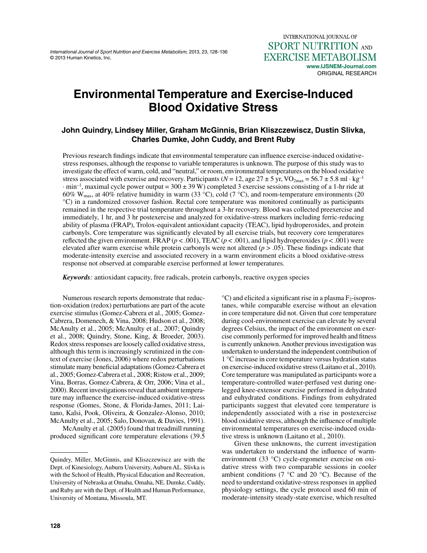*International Journal of Sport Nutrition and Exercise Metabolism,* 2013, 23, 128 -136 © 2013 Human Kinetics, Inc.

## **Environmental Temperature and Exercise-Induced Blood Oxidative Stress**

## **John Quindry, Lindsey Miller, Graham McGinnis, Brian Kliszczewiscz, Dustin Slivka, Charles Dumke, John Cuddy, and Brent Ruby**

Previous research findings indicate that environmental temperature can influence exercise-induced oxidativestress responses, although the response to variable temperatures is unknown. The purpose of this study was to investigate the effect of warm, cold, and "neutral," or room, environmental temperatures on the blood oxidative stress associated with exercise and recovery. Participants ( $N = 12$ , age  $27 \pm 5$  yr, VO<sub>2max</sub> = 56.7  $\pm$  5.8 ml·kg<sup>-1</sup>  $\cdot$  min<sup>-1</sup>, maximal cycle power output = 300  $\pm$  39 W) completed 3 exercise sessions consisting of a 1-hr ride at 60% W<sub>max</sub>, at 40% relative humidity in warm (33 °C), cold (7 °C), and room-temperature environments (20 °C) in a randomized crossover fashion. Rectal core temperature was monitored continually as participants remained in the respective trial temperature throughout a 3-hr recovery. Blood was collected preexercise and immediately, 1 hr, and 3 hr postexercise and analyzed for oxidative-stress markers including ferric-reducing ability of plasma (FRAP), Trolox-equivalent antioxidant capacity (TEAC), lipid hydroperoxides, and protein carbonyls. Core temperature was significantly elevated by all exercise trials, but recovery core temperatures reflected the given environment. FRAP ( $p < .001$ ), TEAC ( $p < .001$ ), and lipid hydroperoxides ( $p < .001$ ) were elevated after warm exercise while protein carbonyls were not altered (*p* > .05). These findings indicate that moderate-intensity exercise and associated recovery in a warm environment elicits a blood oxidative-stress response not observed at comparable exercise performed at lower temperatures.

*Keywords:* antioxidant capacity, free radicals, protein carbonyls, reactive oxygen species

Numerous research reports demonstrate that reduction-oxidation (redox) perturbations are part of the acute exercise stimulus (Gomez-Cabrera et al., 2005; Gomez-Cabrera, Domenech, & Vina, 2008; Hudson et al., 2008; McAnulty et al., 2005; McAnulty et al., 2007; Quindry et al., 2008; Quindry, Stone, King, & Broeder, 2003). Redox stress responses are loosely called oxidative stress, although this term is increasingly scrutinized in the context of exercise (Jones, 2006) where redox perturbations stimulate many beneficial adaptations (Gomez-Cabrera et al., 2005; Gomez-Cabrera et al., 2008; Ristow et al., 2009; Vina, Borras, Gomez-Cabrera, & Orr, 2006; Vina et al., 2000). Recent investigations reveal that ambient temperature may influence the exercise-induced oxidative-stress response (Gomes, Stone, & Florida-James, 2011; Laitano, Kalsi, Pook, Oliveira, & Gonzalez-Alonso, 2010; McAnulty et al., 2005; Salo, Donovan, & Davies, 1991).

McAnulty et al. (2005) found that treadmill running produced significant core temperature elevations (39.5

 $^{\circ}$ C) and elicited a significant rise in a plasma  $F_2$ -isoprostanes, while comparable exercise without an elevation in core temperature did not. Given that core temperature during cool-environment exercise can elevate by several degrees Celsius, the impact of the environment on exercise commonly performed for improved health and fitness is currently unknown. Another previous investigation was undertaken to understand the independent contribution of 1 °C increase in core temperature versus hydration status on exercise-induced oxidative stress (Laitano et al., 2010). Core temperature was manipulated as participants wore a temperature-controlled water-perfused vest during onelegged knee-extensor exercise performed in dehydrated and euhydrated conditions. Findings from euhydrated participants suggest that elevated core temperature is independently associated with a rise in postexercise blood oxidative stress, although the influence of multiple environmental temperatures on exercise-induced oxidative stress is unknown (Laitano et al., 2010).

Given these unknowns, the current investigation was undertaken to understand the influence of warmenvironment (33 °C) cycle-ergometer exercise on oxidative stress with two comparable sessions in cooler ambient conditions (7 $\degree$ C and 20 $\degree$ C). Because of the need to understand oxidative-stress responses in applied physiology settings, the cycle protocol used 60 min of moderate-intensity steady-state exercise, which resulted

Quindry, Miller, McGinnis, and Kliszczewiscz are with the Dept. of Kinesiology, Auburn University, Auburn AL. Slivka is with the School of Health, Physical Education and Recreation, University of Nebraska at Omaha, Omaha, NE. Dumke, Cuddy, and Ruby are with the Dept. of Health and Human Performance, University of Montana, Missoula, MT.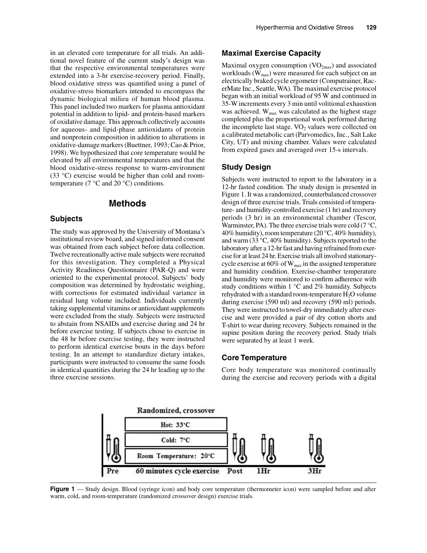in an elevated core temperature for all trials. An additional novel feature of the current study's design was that the respective environmental temperatures were extended into a 3-hr exercise-recovery period. Finally, blood oxidative stress was quantified using a panel of oxidative-stress biomarkers intended to encompass the dynamic biological milieu of human blood plasma. This panel included two markers for plasma antioxidant potential in addition to lipid- and protein-based markers of oxidative damage. This approach collectively accounts for aqueous- and lipid-phase antioxidants of protein and nonprotein composition in addition to alterations in oxidative-damage markers (Buettner, 1993; Cao & Prior, 1998). We hypothesized that core temperature would be elevated by all environmental temperatures and that the blood oxidative-stress response to warm-environment (33 °C) exercise would be higher than cold and roomtemperature (7  $\mathrm{^{\circ}C}$  and 20  $\mathrm{^{\circ}C}$ ) conditions.

### **Methods**

#### **Subjects**

The study was approved by the University of Montana's institutional review board, and signed informed consent was obtained from each subject before data collection. Twelve recreationally active male subjects were recruited for this investigation. They completed a Physical Activity Readiness Questionnaire (PAR-Q) and were oriented to the experimental protocol. Subjects' body composition was determined by hydrostatic weighing, with corrections for estimated individual variance in residual lung volume included. Individuals currently taking supplemental vitamins or antioxidant supplements were excluded from the study. Subjects were instructed to abstain from NSAIDs and exercise during and 24 hr before exercise testing. If subjects chose to exercise in the 48 hr before exercise testing, they were instructed to perform identical exercise bouts in the days before testing. In an attempt to standardize dietary intakes, participants were instructed to consume the same foods in identical quantities during the 24 hr leading up to the three exercise sessions.

#### **Maximal Exercise Capacity**

Maximal oxygen consumption  $(VO_{2max})$  and associated workloads  $(W_{max})$  were measured for each subject on an electrically braked cycle ergometer (Computrainer, RacerMate Inc., Seattle, WA). The maximal exercise protocol began with an initial workload of 95 W and continued in 35-W increments every 3 min until volitional exhaustion was achieved. W<sub>max</sub> was calculated as the highest stage completed plus the proportional work performed during the incomplete last stage.  $VO<sub>2</sub>$  values were collected on a calibrated metabolic cart (Parvomedics, Inc., Salt Lake City, UT) and mixing chamber. Values were calculated from expired gases and averaged over 15-s intervals.

#### **Study Design**

Subjects were instructed to report to the laboratory in a 12-hr fasted condition. The study design is presented in Figure 1. It was a randomized, counterbalanced crossover design of three exercise trials. Trials consisted of temperature- and humidity-controlled exercise (1 hr) and recovery periods (3 hr) in an environmental chamber (Tescor, Warminster, PA). The three exercise trials were cold  $(7 °C)$ , 40% humidity), room temperature (20 °C, 40% humidity), and warm (33 °C, 40% humidity). Subjects reported to the laboratory after a 12-hr fast and having refrained from exercise for at least 24 hr. Exercise trials all involved stationarycycle exercise at  $60\%$  of  $W_{max}$  in the assigned temperature and humidity condition. Exercise-chamber temperature and humidity were monitored to confirm adherence with study conditions within  $1 \degree C$  and  $2\%$  humidity. Subjects rehydrated with a standard room-temperature  $H_2O$  volume during exercise (590 ml) and recovery (590 ml) periods. They were instructed to towel-dry immediately after exercise and were provided a pair of dry cotton shorts and T-shirt to wear during recovery. Subjects remained in the supine position during the recovery period. Study trials were separated by at least 1 week.

#### **Core Temperature**

Core body temperature was monitored continually during the exercise and recovery periods with a digital



**Figure 1** — Study design. Blood (syringe icon) and body core temperature (thermometer icon) were sampled before and after warm, cold, and room-temperature (randomized crossover design) exercise trials.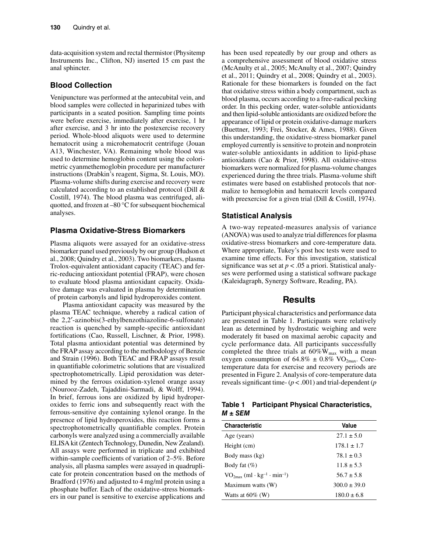data-acquisition system and rectal thermistor (Physitemp Instruments Inc., Clifton, NJ) inserted 15 cm past the anal sphincter.

#### **Blood Collection**

Venipuncture was performed at the antecubital vein, and blood samples were collected in heparinized tubes with participants in a seated position. Sampling time points were before exercise, immediately after exercise, 1 hr after exercise, and 3 hr into the postexercise recovery period. Whole-blood aliquots were used to determine hematocrit using a microhematocrit centrifuge (Jouan A13, Winchester, VA). Remaining whole blood was used to determine hemoglobin content using the colorimetric cyanmethemoglobin procedure per manufacturer instructions (Drabkin's reagent, Sigma, St. Louis, MO). Plasma-volume shifts during exercise and recovery were calculated according to an established protocol (Dill & Costill, 1974). The blood plasma was centrifuged, aliquotted, and frozen at –80 °C for subsequent biochemical analyses.

#### **Plasma Oxidative-Stress Biomarkers**

Plasma aliquots were assayed for an oxidative-stress biomarker panel used previously by our group (Hudson et al., 2008; Quindry et al., 2003). Two biomarkers, plasma Trolox-equivalent antioxidant capacity (TEAC) and ferric-reducing antioxidant potential (FRAP), were chosen to evaluate blood plasma antioxidant capacity. Oxidative damage was evaluated in plasma by determination of protein carbonyls and lipid hydroperoxides content.

Plasma antioxidant capacity was measured by the plasma TEAC technique, whereby a radical cation of the 2,2′-azinobis(3-ethylbenzothiazoline-6-sulfonate) reaction is quenched by sample-specific antioxidant fortifications (Cao, Russell, Lischner, & Prior, 1998). Total plasma antioxidant potential was determined by the FRAP assay according to the methodology of Benzie and Strain (1996). Both TEAC and FRAP assays result in quantifiable colorimetric solutions that are visualized spectrophotometrically. Lipid peroxidation was determined by the ferrous oxidation-xylenol orange assay (Nourooz-Zadeh, Tajaddini-Sarmadi, & Wolff, 1994). In brief, ferrous ions are oxidized by lipid hydroperoxides to ferric ions and subsequently react with the ferrous-sensitive dye containing xylenol orange. In the presence of lipid hydroperoxides, this reaction forms a spectrophotometrically quantifiable complex. Protein carbonyls were analyzed using a commercially available ELISA kit (Zentech Technology, Dunedin, New Zealand). All assays were performed in triplicate and exhibited within-sample coefficients of variation of 2–5%. Before analysis, all plasma samples were assayed in quadruplicate for protein concentration based on the methods of Bradford (1976) and adjusted to 4 mg/ml protein using a phosphate buffer. Each of the oxidative-stress biomarkers in our panel is sensitive to exercise applications and

has been used repeatedly by our group and others as a comprehensive assessment of blood oxidative stress (McAnulty et al., 2005; McAnulty et al., 2007; Quindry et al., 2011; Quindry et al., 2008; Quindry et al., 2003). Rationale for these biomarkers is founded on the fact that oxidative stress within a body compartment, such as blood plasma, occurs according to a free-radical pecking order. In this pecking order, water-soluble antioxidants and then lipid-soluble antioxidants are oxidized before the appearance of lipid or protein oxidative-damage markers (Buettner, 1993; Frei, Stocker, & Ames, 1988). Given this understanding, the oxidative-stress biomarker panel employed currently is sensitive to protein and nonprotein water-soluble antioxidants in addition to lipid-phase antioxidants (Cao & Prior, 1998). All oxidative-stress biomarkers were normalized for plasma-volume changes experienced during the three trials. Plasma-volume shift estimates were based on established protocols that normalize to hemoglobin and hematocrit levels compared with preexercise for a given trial (Dill & Costill, 1974).

#### **Statistical Analysis**

A two-way repeated-measures analysis of variance (ANOVA) was used to analyze trial differences for plasma oxidative-stress biomarkers and core-temperature data. Where appropriate, Tukey's post hoc tests were used to examine time effects. For this investigation, statistical significance was set at  $p < .05$  a priori. Statistical analyses were performed using a statistical software package (Kaleidagraph, Synergy Software, Reading, PA).

## **Results**

Participant physical characteristics and performance data are presented in Table 1. Participants were relatively lean as determined by hydrostatic weighing and were moderately fit based on maximal aerobic capacity and cycle performance data. All participants successfully completed the three trials at  $60\%W_{max}$  with a mean oxygen consumption of  $64.8\% \pm 0.8\%$  VO<sub>2max</sub>. Coretemperature data for exercise and recovery periods are presented in Figure 2. Analysis of core-temperature data reveals significant time- (*p* < .001) and trial-dependent (*p*

#### **Table 1 Participant Physical Characteristics,**  *M* **±** *SEM*

| <b>Characteristic</b>                                    | Value            |
|----------------------------------------------------------|------------------|
| Age (years)                                              | $27.1 \pm 5.0$   |
| Height (cm)                                              | $178.1 \pm 1.7$  |
| Body mass (kg)                                           | $78.1 \pm 0.3$   |
| Body fat $(\%)$                                          | $11.8 \pm 5.3$   |
| $VO_{2max}$ (ml · kg <sup>-1</sup> · min <sup>-1</sup> ) | $56.7 \pm 5.8$   |
| Maximum watts (W)                                        | $300.0 \pm 39.0$ |
| Watts at $60\%$ (W)                                      | $180.0 \pm 6.8$  |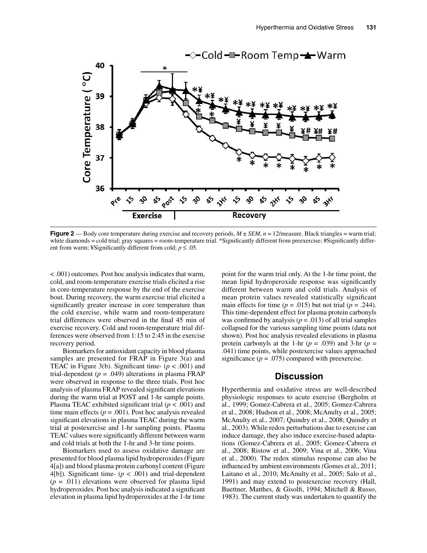

**Figure 2** — Body core temperature during exercise and recovery periods,  $M \pm SEM$ ,  $n = 12$ /measure. Black triangles = warm trial; white diamonds = cold trial; gray squares = room-temperature trial. \*Significantly different from preexercise; #Significantly different from warm; ¥Significantly different from cold;  $p \le 0.05$ .

< .001) outcomes. Post hoc analysis indicates that warm, cold, and room-temperature exercise trials elicited a rise in core-temperature response by the end of the exercise bout. During recovery, the warm exercise trial elicited a significantly greater increase in core temperature than the cold exercise, while warm and room-temperature trial differences were observed in the final 45 min of exercise recovery. Cold and room-temperature trial differences were observed from 1:15 to 2:45 in the exercise recovery period.

Biomarkers for antioxidant capacity in blood plasma samples are presented for FRAP in Figure 3(a) and TEAC in Figure 3(b). Significant time-  $(p < .001)$  and trial-dependent  $(p = .049)$  alterations in plasma FRAP were observed in response to the three trials. Post hoc analysis of plasma FRAP revealed significant elevations during the warm trial at POST and 1-hr sample points. Plasma TEAC exhibited significant trial  $(p < .001)$  and time main effects ( $p = .001$ ). Post hoc analysis revealed significant elevations in plasma TEAC during the warm trial at postexercise and 1-hr sampling points. Plasma TEAC values were significantly different between warm and cold trials at both the 1-hr and 3-hr time points.

Biomarkers used to assess oxidative damage are presented for blood plasma lipid hydroperoxides (Figure 4[a]) and blood plasma protein carbonyl content (Figure 4[b]). Significant time-  $(p < .001)$  and trial-dependent  $(p = .011)$  elevations were observed for plasma lipid hydroperoxides. Post hoc analysis indicated a significant elevation in plasma lipid hydroperoxides at the 1-hr time

point for the warm trial only. At the 1-hr time point, the mean lipid hydroperoxide response was significantly different between warm and cold trials. Analysis of mean protein values revealed statistically significant main effects for time  $(p = .015)$  but not trial  $(p = .244)$ . This time-dependent effect for plasma protein carbonyls was confirmed by analysis ( $p = .013$ ) of all trial samples collapsed for the various sampling time points (data not shown). Post hoc analysis revealed elevations in plasma protein carbonyls at the 1-hr  $(p = .039)$  and 3-hr  $(p = .039)$ .041) time points, while postexercise values approached significance  $(p = .075)$  compared with preexercise.

## **Discussion**

Hyperthermia and oxidative stress are well-described physiologic responses to acute exercise (Bergholm et al., 1999; Gomez-Cabrera et al., 2005; Gomez-Cabrera et al., 2008; Hudson et al., 2008; McAnulty et al., 2005; McAnulty et al., 2007; Quindry et al., 2008; Quindry et al., 2003). While redox perturbations due to exercise can induce damage, they also induce exercise-based adaptations (Gomez-Cabrera et al., 2005; Gomez-Cabrera et al., 2008; Ristow et al., 2009; Vina et al., 2006; Vina et al., 2000). The redox stimulus response can also be influenced by ambient environments (Gomes et al., 2011; Laitano et al., 2010; McAnulty et al., 2005; Salo et al., 1991) and may extend to postexercise recovery (Hall, Buettner, Matthes, & Gisolfi, 1994; Mitchell & Russo, 1983). The current study was undertaken to quantify the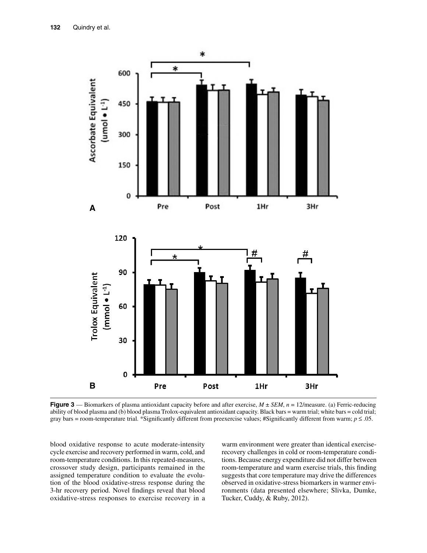

**Figure 3** — Biomarkers of plasma antioxidant capacity before and after exercise, *M* ± *SEM*, *n* = 12/measure. (a) Ferric-reducing ability of blood plasma and (b) blood plasma Trolox-equivalent antioxidant capacity. Black bars = warm trial; white bars = cold trial; gray bars = room-temperature trial. \*Significantly different from preexercise values; #Significantly different from warm;  $p \le 0.05$ .

blood oxidative response to acute moderate-intensity cycle exercise and recovery performed in warm, cold, and room-temperature conditions. In this repeated-measures, crossover study design, participants remained in the assigned temperature condition to evaluate the evolution of the blood oxidative-stress response during the 3-hr recovery period. Novel findings reveal that blood oxidative-stress responses to exercise recovery in a

warm environment were greater than identical exerciserecovery challenges in cold or room-temperature conditions. Because energy expenditure did not differ between room-temperature and warm exercise trials, this finding suggests that core temperature may drive the differences observed in oxidative-stress biomarkers in warmer environments (data presented elsewhere; Slivka, Dumke, Tucker, Cuddy, & Ruby, 2012).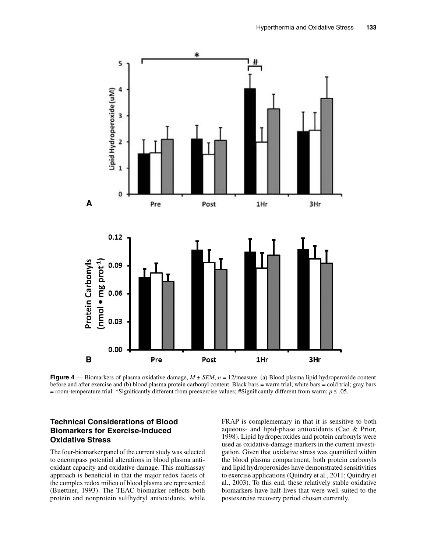

**Figure 4** — Biomarkers of plasma oxidative damage,  $M \pm SEM$ ,  $n = 12$ /measure. (a) Blood plasma lipid hydroperoxide content before and after exercise and (b) blood plasma protein carbonyl content. Black bars = warm trial; white bars = cold trial; gray bars = room-temperature trial. \*Significantly different from preexercise values; #Significantly different from warm;  $p \le 0.05$ .

## **Technical Considerations of Blood Biomarkers for Exercise-Induced Oxidative Stress**

The four-biomarker panel of the current study was selected to encompass potential alterations in blood plasma antioxidant capacity and oxidative damage. This multiassay approach is beneficial in that the major redox facets of the complex redox milieu of blood plasma are represented (Buettner, 1993). The TEAC biomarker reflects both protein and nonprotein sulfhydryl antioxidants, while

FRAP is complementary in that it is sensitive to both aqueous- and lipid-phase antioxidants (Cao & Prior, 1998). Lipid hydroperoxides and protein carbonyls were used as oxidative-damage markers in the current investigation. Given that oxidative stress was quantified within the blood plasma compartment, both protein carbonyls and lipid hydroperoxides have demonstrated sensitivities to exercise applications (Quindry et al., 2011; Quindry et al., 2003). To this end, these relatively stable oxidative biomarkers have half-lives that were well suited to the postexercise recovery period chosen currently.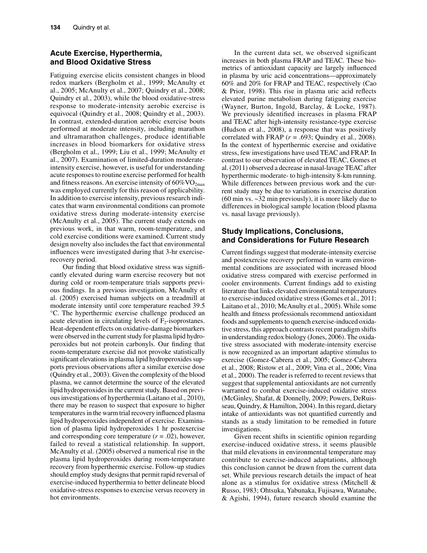### **Acute Exercise, Hyperthermia, and Blood Oxidative Stress**

Fatiguing exercise elicits consistent changes in blood redox markers (Bergholm et al., 1999; McAnulty et al., 2005; McAnulty et al., 2007; Quindry et al., 2008; Quindry et al., 2003), while the blood oxidative-stress response to moderate-intensity aerobic exercise is equivocal (Quindry et al., 2008; Quindry et al., 2003). In contrast, extended-duration aerobic exercise bouts performed at moderate intensity, including marathon and ultramarathon challenges, produce identifiable increases in blood biomarkers for oxidative stress (Bergholm et al., 1999; Liu et al., 1999; McAnulty et al., 2007). Examination of limited-duration moderateintensity exercise, however, is useful for understanding acute responses to routine exercise performed for health and fitness reasons. An exercise intensity of  $60\%$ VO<sub>2max</sub> was employed currently for this reason of applicability. In addition to exercise intensity, previous research indicates that warm environmental conditions can promote oxidative stress during moderate-intensity exercise (McAnulty et al., 2005). The current study extends on previous work, in that warm, room-temperature, and cold exercise conditions were examined. Current study design novelty also includes the fact that environmental influences were investigated during that 3-hr exerciserecovery period.

Our finding that blood oxidative stress was significantly elevated during warm exercise recovery but not during cold or room-temperature trials supports previous findings. In a previous investigation, McAnulty et al. (2005) exercised human subjects on a treadmill at moderate intensity until core temperature reached 39.5 °C. The hyperthermic exercise challenge produced an acute elevation in circulating levels of  $F_2$ -isoprostanes. Heat-dependent effects on oxidative-damage biomarkers were observed in the current study for plasma lipid hydroperoxides but not protein carbonyls. Our finding that room-temperature exercise did not provoke statistically significant elevations in plasma lipid hydroperoxides supports previous observations after a similar exercise dose (Quindry et al., 2003). Given the complexity of the blood plasma, we cannot determine the source of the elevated lipid hydroperoxides in the current study. Based on previous investigations of hyperthermia (Laitano et al., 2010), there may be reason to suspect that exposure to higher temperatures in the warm trial recovery influenced plasma lipid hydroperoxides independent of exercise. Examination of plasma lipid hydroperoxides 1 hr postexercise and corresponding core temperature  $(r = .02)$ , however, failed to reveal a statistical relationship. In support, McAnulty et al. (2005) observed a numerical rise in the plasma lipid hydroperoxides during room-temperature recovery from hyperthermic exercise. Follow-up studies should employ study designs that permit rapid reversal of exercise-induced hyperthermia to better delineate blood oxidative-stress responses to exercise versus recovery in hot environments.

In the current data set, we observed significant increases in both plasma FRAP and TEAC. These biometrics of antioxidant capacity are largely influenced in plasma by uric acid concentrations—approximately 60% and 20% for FRAP and TEAC, respectively (Cao & Prior, 1998). This rise in plasma uric acid reflects elevated purine metabolism during fatiguing exercise (Wayner, Burton, Ingold, Barclay, & Locke, 1987). We previously identified increases in plasma FRAP and TEAC after high-intensity resistance-type exercise (Hudson et al., 2008), a response that was positively correlated with FRAP  $(r = .693;$  Quindry et al., 2008). In the context of hyperthermic exercise and oxidative stress, few investigations have used TEAC and FRAP. In contrast to our observation of elevated TEAC, Gomes et al. (2011) observed a decrease in nasal-lavage TEAC after hyperthermic moderate- to high-intensity 8-km running. While differences between previous work and the current study may be due to variations in exercise duration (60 min vs. ~32 min previously), it is more likely due to differences in biological sample location (blood plasma vs. nasal lavage previously).

## **Study Implications, Conclusions, and Considerations for Future Research**

Current findings suggest that moderate-intensity exercise and postexercise recovery performed in warm environmental conditions are associated with increased blood oxidative stress compared with exercise performed in cooler environments. Current findings add to existing literature that links elevated environmental temperatures to exercise-induced oxidative stress (Gomes et al., 2011; Laitano et al., 2010; McAnulty et al., 2005). While some health and fitness professionals recommend antioxidant foods and supplements to quench exercise-induced oxidative stress, this approach contrasts recent paradigm shifts in understanding redox biology (Jones, 2006). The oxidative stress associated with moderate-intensity exercise is now recognized as an important adaptive stimulus to exercise (Gomez-Cabrera et al., 2005; Gomez-Cabrera et al., 2008; Ristow et al., 2009; Vina et al., 2006; Vina et al., 2000). The reader is referred to recent reviews that suggest that supplemental antioxidants are not currently warranted to combat exercise-induced oxidative stress (McGinley, Shafat, & Donnelly, 2009; Powers, DeRuisseau, Quindry, & Hamilton, 2004). In this regard, dietary intake of antioxidants was not quantified currently and stands as a study limitation to be remedied in future investigations.

Given recent shifts in scientific opinion regarding exercise-induced oxidative stress, it seems plausible that mild elevations in environmental temperature may contribute to exercise-induced adaptations, although this conclusion cannot be drawn from the current data set. While previous research details the impact of heat alone as a stimulus for oxidative stress (Mitchell & Russo, 1983; Ohtsuka, Yabunaka, Fujisawa, Watanabe, & Agishi, 1994), future research should examine the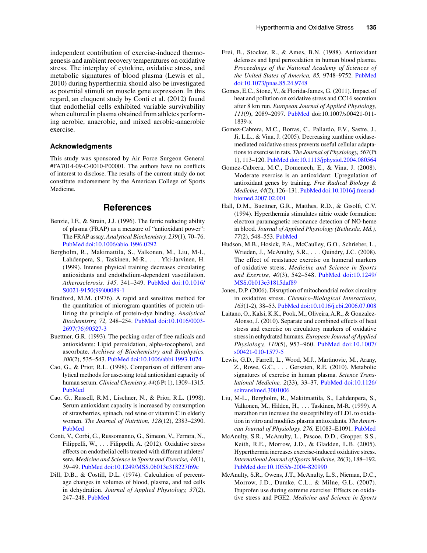independent contribution of exercise-induced thermogenesis and ambient recovery temperatures on oxidative stress. The interplay of cytokine, oxidative stress, and metabolic signatures of blood plasma (Lewis et al., 2010) during hyperthermia should also be investigated as potential stimuli on muscle gene expression. In this regard, an eloquent study by Conti et al. (2012) found that endothelial cells exhibited variable survivability when cultured in plasma obtained from athletes performing aerobic, anaerobic, and mixed aerobic-anaerobic exercise.

#### **Acknowledgments**

This study was sponsored by Air Force Surgeon General #FA7014-09-C-0010-P00001. The authors have no conflicts of interest to disclose. The results of the current study do not constitute endorsement by the American College of Sports Medicine.

## **References**

- Benzie, I.F., & Strain, J.J. (1996). The ferric reducing ability of plasma (FRAP) as a measure of "antioxidant power": The FRAP assay. *Analytical Biochemistry, 239*(1), 70–76. [PubMed](http://www.ncbi.nlm.nih.gov/entrez/query.fcgi?cmd=Retrieve&db=PubMed&list_uids=8660627&dopt=Abstract) [doi:10.1006/abio.1996.0292](http://dx.doi.org/10.1006/abio.1996.0292)
- Bergholm, R., Makimattila, S., Valkonen, M., Liu, M-l., Lahdenpera, S., Taskinen, M-R., . . . Yki-Jarvinen, H. (1999). Intense physical training decreases circulating antioxidants and endothelium-dependent vasodilation. *Atherosclerosis, 145,* 341–349[. PubMed](http://www.ncbi.nlm.nih.gov/entrez/query.fcgi?cmd=Retrieve&db=PubMed&list_uids=10488962&dopt=Abstract) [doi:10.1016/](http://dx.doi.org/10.1016/S0021-9150(99)00089-1) [S0021-9150\(99\)00089-1](http://dx.doi.org/10.1016/S0021-9150(99)00089-1)
- Bradford, M.M. (1976). A rapid and sensitive method for the quantitation of microgram quantities of protein utilizing the principle of protein-dye binding. *Analytical Biochemistry, 72,* 248–254[. PubMed](http://www.ncbi.nlm.nih.gov/entrez/query.fcgi?cmd=Retrieve&db=PubMed&list_uids=942051&dopt=Abstract) [doi:10.1016/0003-](http://dx.doi.org/10.1016/0003-2697(76)90527-3) [2697\(76\)90527-3](http://dx.doi.org/10.1016/0003-2697(76)90527-3)
- Buettner, G.R. (1993). The pecking order of free radicals and antioxidants: Lipid peroxidation, alpha-tocopherol, and ascorbate. *Archives of Biochemistry and Biophysics, 300*(2), 535–543[. PubMed](http://www.ncbi.nlm.nih.gov/entrez/query.fcgi?cmd=Retrieve&db=PubMed&list_uids=8434935&dopt=Abstract) [doi:10.1006/abbi.1993.1074](http://dx.doi.org/10.1006/abbi.1993.1074)
- Cao, G., & Prior, R.L. (1998). Comparison of different analytical methods for assessing total antioxidant capacity of human serum. *Clinical Chemistry, 44*(6 Pt 1), 1309–1315. [PubMed](http://www.ncbi.nlm.nih.gov/entrez/query.fcgi?cmd=Retrieve&db=PubMed&list_uids=9625058&dopt=Abstract)
- Cao, G., Russell, R.M., Lischner, N., & Prior, R.L. (1998). Serum antioxidant capacity is increased by consumption of strawberries, spinach, red wine or vitamin C in elderly women. *The Journal of Nutrition, 128*(12), 2383–2390. [PubMed](http://www.ncbi.nlm.nih.gov/entrez/query.fcgi?cmd=Retrieve&db=PubMed&list_uids=9868185&dopt=Abstract)
- Conti, V., Corbi, G., Russomanno, G., Simeon, V., Ferrara, N., Filippelli, W., . . . Filippelli, A. (2012). Oxidative stress effects on endothelial cells treated with different athletes' sera. *Medicine and Science in Sports and Exercise, 44*(1), 39–49. [PubMed](http://www.ncbi.nlm.nih.gov/entrez/query.fcgi?cmd=Retrieve&db=PubMed&list_uids=21659898&dopt=Abstract) [doi:10.1249/MSS.0b013e318227f69c](http://dx.doi.org/10.1249/MSS.0b013e318227f69c)
- Dill, D.B., & Costill, D.L. (1974). Calculation of percentage changes in volumes of blood, plasma, and red cells in dehydration. *Journal of Applied Physiology, 37*(2), 247–248. [PubMed](http://www.ncbi.nlm.nih.gov/entrez/query.fcgi?cmd=Retrieve&db=PubMed&list_uids=4850854&dopt=Abstract)
- Frei, B., Stocker, R., & Ames, B.N. (1988). Antioxidant defenses and lipid peroxidation in human blood plasma. *Proceedings of the National Academy of Sciences of the United States of America, 85,* 9748–9752[. PubMed](http://www.ncbi.nlm.nih.gov/entrez/query.fcgi?cmd=Retrieve&db=PubMed&list_uids=3200852&dopt=Abstract) [doi:10.1073/pnas.85.24.9748](http://dx.doi.org/10.1073/pnas.85.24.9748)
- Gomes, E.C., Stone, V., & Florida-James, G. (2011). Impact of heat and pollution on oxidative stress and CC16 secretion after 8 km run. *European Journal of Applied Physiology, 111*(9), 2089–2097. [PubMed](http://www.ncbi.nlm.nih.gov/entrez/query.fcgi?cmd=Retrieve&db=PubMed&list_uids=21267745&dopt=Abstract) doi:10.1007/s00421-011- 1839-x
- Gomez-Cabrera, M.C., Borras, C., Pallardo, F.V., Sastre, J., Ji, L.L., & Vina, J. (2005). Decreasing xanthine oxidasemediated oxidative stress prevents useful cellular adaptations to exercise in rats. *The Journal of Physiology, 567*(Pt 1), 113–120[. PubMed](http://www.ncbi.nlm.nih.gov/entrez/query.fcgi?cmd=Retrieve&db=PubMed&list_uids=15932896&dopt=Abstract) [doi:10.1113/jphysiol.2004.080564](http://dx.doi.org/10.1113/jphysiol.2004.080564)
- Gomez-Cabrera, M.C., Domenech, E., & Vina, J. (2008). Moderate exercise is an antioxidant: Upregulation of antioxidant genes by training. *Free Radical Biology & Medicine, 44*(2), 126–131. [PubMed](http://www.ncbi.nlm.nih.gov/entrez/query.fcgi?cmd=Retrieve&db=PubMed&list_uids=18191748&dopt=Abstract) [doi:10.1016/j.freerad](http://dx.doi.org/10.1016/j.freeradbiomed.2007.02.001)[biomed.2007.02.001](http://dx.doi.org/10.1016/j.freeradbiomed.2007.02.001)
- Hall, D.M., Buettner, G.R., Matthes, R.D., & Gisolfi, C.V. (1994). Hyperthermia stimulates nitric oxide formation: electron paramagnetic resonance detection of NO-heme in blood. *Journal of Applied Physiology (Bethesda, Md.), 77*(2), 548–553. [PubMed](http://www.ncbi.nlm.nih.gov/entrez/query.fcgi?cmd=Retrieve&db=PubMed&list_uids=8002499&dopt=Abstract)
- Hudson, M.B., Hosick, P.A., McCaulley, G.O., Schrieber, L., Wrieden, J., McAnulty, S.R., . . . Quindry, J.C. (2008). The effect of resistance exercise on humeral markers of oxidative stress. *Medicine and Science in Sports and Exercise, 40*(3), 542–548[. PubMed](http://www.ncbi.nlm.nih.gov/entrez/query.fcgi?cmd=Retrieve&db=PubMed&list_uids=18379219&dopt=Abstract) [doi:10.1249/](http://dx.doi.org/10.1249/MSS.0b013e31815daf89) [MSS.0b013e31815daf89](http://dx.doi.org/10.1249/MSS.0b013e31815daf89)
- Jones, D.P. (2006). Disruption of mitochondrial redox circuitry in oxidative stress. *Chemico-Biological Interactions, 163*(1-2), 38–53. [PubMed](http://www.ncbi.nlm.nih.gov/entrez/query.fcgi?cmd=Retrieve&db=PubMed&list_uids=16970935&dopt=Abstract) [doi:10.1016/j.cbi.2006.07.008](http://dx.doi.org/10.1016/j.cbi.2006.07.008)
- Laitano, O., Kalsi, K.K., Pook, M., Oliveira, A.R., & Gonzalez-Alonso, J. (2010). Separate and combined effects of heat stress and exercise on circulatory markers of oxidative stress in euhydrated humans. *European Journal of Applied Physiology, 110*(5), 953–960. [PubMed](http://www.ncbi.nlm.nih.gov/entrez/query.fcgi?cmd=Retrieve&db=PubMed&list_uids=20658249&dopt=Abstract) [doi:10.1007/](http://dx.doi.org/10.1007/s00421-010-1577-5) [s00421-010-1577-5](http://dx.doi.org/10.1007/s00421-010-1577-5)
- Lewis, G.D., Farrell, L., Wood, M.J., Martinovic, M., Arany, Z., Rowe, G.C., . . . Gerszten, R.E. (2010). Metabolic signatures of exercise in human plasma. *Science Translational Medicine, 2*(33), 33–37. [PubMed](http://www.ncbi.nlm.nih.gov/entrez/query.fcgi?cmd=Retrieve&db=PubMed&list_uids=20505214&dopt=Abstract) [doi:10.1126/](http://dx.doi.org/10.1126/scitranslmed.3001006) [scitranslmed.3001006](http://dx.doi.org/10.1126/scitranslmed.3001006)
- Liu, M-L., Bergholm, R., Makitmattila, S., Lahdenpera, S., Valkonen, M., Hilden, H., . . . Taskinen, M-R. (1999). A marathon run increase the susceptibility of LDL to oxidation in vitro and modifies plasma antioxidants. *The American Journal of Physiology, 276,* E1083–E1091[. PubMed](http://www.ncbi.nlm.nih.gov/entrez/query.fcgi?cmd=Retrieve&db=PubMed&list_uids=10362621&dopt=Abstract)
- McAnulty, S.R., McAnulty, L., Pascoe, D.D., Gropper, S.S., Keith, R.E., Morrow, J.D., & Gladden, L.B. (2005). Hyperthermia increases exercise-induced oxidative stress. *International Journal of Sports Medicine, 26*(3), 188–192. [PubMed](http://www.ncbi.nlm.nih.gov/entrez/query.fcgi?cmd=Retrieve&db=PubMed&list_uids=15776334&dopt=Abstract) [doi:10.1055/s-2004-820990](http://dx.doi.org/10.1055/s-2004-820990)
- McAnulty, S.R., Owens, J.T., McAnulty, L.S., Nieman, D.C., Morrow, J.D., Dumke, C.L., & Milne, G.L. (2007). Ibuprofen use during extreme exercise: Effects on oxidative stress and PGE2. *Medicine and Science in Sports*